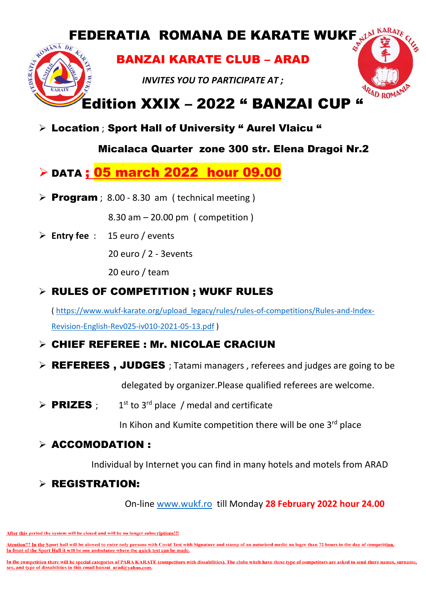# FEDERATIA ROMANA DE KARATE WUKF JAN KARATE

BANZAI KARATE CLUB – ARAD

*INVITES YOU TO PARTICIPATE AT ;*



## Edition XXIX – 2022 " BANZAI CUP "

> Location ; Sport Hall of University " Aurel Vlaicu "

#### Micalaca Quarter zone 300 str. Elena Dragoi Nr.2

### **DATA ; 05 march 2022 hour 09.00**

**Program** ; 8.00 - 8.30 am ( technical meeting )

8.30 am – 20.00 pm ( competition )

**Entry fee** : 15 euro / events

DERATIA

20 euro / 2 - 3events

20 euro / team

#### RULES OF COMPETITION ; WUKF RULES

( [https://www.wukf-karate.org/upload\\_legacy/rules/rules-of-competitions/Rules-and-Index-](https://www.wukf-karate.org/upload_legacy/rules/rules-of-competitions/Rules-and-Index-Revision-English-Rev025-iv010-2021-05-13.pdf)[Revision-English-Rev025-iv010-2021-05-13.pdf](https://www.wukf-karate.org/upload_legacy/rules/rules-of-competitions/Rules-and-Index-Revision-English-Rev025-iv010-2021-05-13.pdf) )

#### CHIEF REFEREE : Mr. NICOLAE CRACIUN

 $\triangleright$  **REFEREES**, JUDGES; Tatami managers, referees and judges are going to be

delegated by organizer.Please qualified referees are welcome.

 $\triangleright$  PRIZES :  $1<sup>st</sup>$  to  $3<sup>rd</sup>$  place / medal and certificate

In Kihon and Kumite competition there will be one 3rd place

#### $\triangleright$  ACCOMODATION :

Individual by Internet you can find in many hotels and motels from ARAD

#### $\triangleright$  REGISTRATION:

On-line [www.wukf.ro](http://www.wukf.ro/) till Monday **28 February 2022 hour 24.00**

After this period the system will be closed and will be no longer subscriptions!!!

Atention!!! In the Sport hall will be alowed to enter only persons with Covid Test with Signature and stamp of an autorized medic no loger than 72 hours in the day of competition. In front of the Sport Hall it will be one ambulance where the quick test can be made.

In the competition there will be special categories of PARA KARATE (competitors with dissabilities). The clubs witch have these type of competitors are asked to send there names, surname, sex, and type of dissabilities to this email banzai arad@yahoo.com.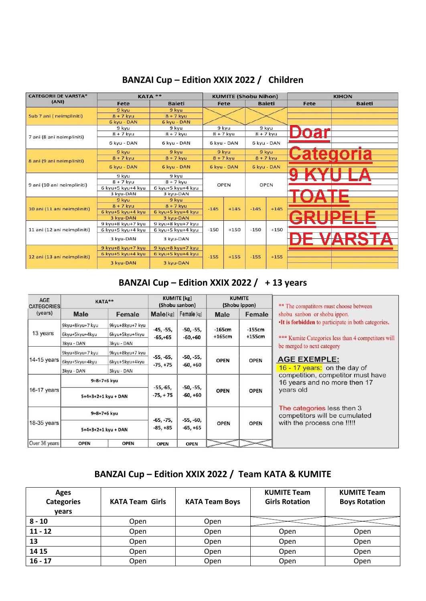#### **BANZAI Cup – Edition XXIX 2022 / Children**

| <b>CATEGORII DE VARSTA*</b> | <b>KATA **</b>    |                   |                            | <b>KUMITE (Shobu Nihon)</b> |        |               |      | <b>KIHON</b>  |
|-----------------------------|-------------------|-------------------|----------------------------|-----------------------------|--------|---------------|------|---------------|
| (ANI)                       | Fete              | <b>Baieti</b>     |                            | Fete                        |        | <b>Baieti</b> | Fete | <b>Baieti</b> |
|                             | 9 kyu             | 9 kyu             |                            |                             |        |               |      |               |
| Sub 7 ani (neimpliniti)     | $8 + 7$ kyu       | $8 + 7$ kyu       |                            |                             |        |               |      |               |
|                             | 6 kyu - DAN       | 6 kyu - DAN       |                            |                             |        |               |      |               |
|                             | 9 kyu             | 9 kyu             |                            | 9 kyu                       |        | 9 kyu         |      |               |
| 7 ani (8 ani neimpliniti)   | $8 + 7$ kyu       | $8 + 7$ kyu       | $8 + 7$ kyu<br>$8 + 7$ kyu |                             |        |               |      |               |
|                             | 6 kyu - DAN       | 6 kyu - DAN       |                            | 6 kyu - DAN                 |        | 6 kyu - DAN   |      |               |
|                             | 9 kyu             | 9 kyu             |                            | 9 kyu                       |        | 9 kyu         |      |               |
|                             | $8 + 7$ kyu       | $8 + 7$ kyu       |                            | $8 + 7$ kyu                 |        | $8 + 7$ kyu   |      |               |
| 8 ani (9 ani neimpliniti)   | 6 kyu - DAN       | 6 kyu - DAN       |                            | 6 kyu - DAN                 |        | 6 kyu - DAN   |      |               |
| 9 ani (10 ani neimpliniti)  | 9 kvu             | 9 kvu             | <b>OPEN</b>                |                             |        |               |      |               |
|                             | $8 + 7$ kyu       | $8 + 7$ kyu       |                            |                             | OPEN   |               |      |               |
|                             | 6 kyu+5 kyu+4 kyu | 6 kyu+5 kyu+4 kyu |                            |                             |        |               |      |               |
|                             | 3 kyu-DAN         | 3 kyu-DAN         |                            |                             |        |               |      |               |
|                             | 9 kyu             | 9 kyu             |                            |                             |        |               |      |               |
| 10 ani (11 ani neimpliniti) | $8 + 7$ kyu       | $8 + 7$ kyu       | $-145$                     | $+145$                      | $-145$ | $+145$        |      |               |
|                             | 6 kvu+5 kvu+4 kvu | 6 kyu+5 kyu+4 kyu |                            |                             |        |               |      |               |
|                             | 3 kvu-DAN         | 3 kvu-DAN         |                            |                             |        |               |      |               |
|                             | 9 kyu+8 kyu+7 kyu | 9 kyu+8 kyu+7 kyu |                            |                             |        |               |      |               |
| 11 ani (12 ani neimpliniti) | 6 kyu+5 kyu+4 kyu | 6 kyu+5 kyu+4 kyu | $-150$                     | $+150$                      | $-150$ | $+150$        |      |               |
|                             | 3 kyu-DAN         | 3 kyu-DAN         |                            |                             |        |               |      |               |
|                             | 9 kyu+8 kyu+7 kyu | 9 kyu+8 kyu+7 kyu | $-155$                     | $+155$                      | $-155$ | $+155$        |      |               |
| 12 ani (13 ani neimpliniti) | 6 kyu+5 kyu+4 kyu | 6 kyu+5 kyu+4 kyu |                            |                             |        |               |      |               |
|                             | 3 kyu-DAN         | 3 kyu-DAN         |                            |                             |        |               |      |               |

#### **BANZAI Cup – Edition XXIX 2022 / + 13 years**

| <b>AGE</b><br><b>CATEGORIES</b> | KATA**                                                                   |                     | <b>KUMITE</b> [kg]<br>(Shobu sanbon)               |                              | <b>KUMITE</b><br>(Shobu ippon) |             | ** The compatitors must choose between                            |  |
|---------------------------------|--------------------------------------------------------------------------|---------------------|----------------------------------------------------|------------------------------|--------------------------------|-------------|-------------------------------------------------------------------|--|
| (years)                         | <b>Male</b>                                                              | Female              | Male[kg]                                           | Female [kg]                  | Male                           | Female      | shobu sanbon or shobu ippon.                                      |  |
|                                 | 9kyu+8kyu+7 kyu                                                          | 9kyu+8kyu+7 kyu     | -45, -55,                                          | -50, -55,                    | $-165cm$                       | $-155cm$    | •It is forbidden to participate in both categories.               |  |
| 13 years                        | 6kyu+5kyu+4kyu<br>6kyu+5kyu+4kyu<br>$+165cm$<br>$-65, +65$<br>$-60, +60$ | $+155cm$            | *** Kumite Categories less than 4 competitors will |                              |                                |             |                                                                   |  |
|                                 | 3kyu - DAN                                                               | 3kyu - DAN          |                                                    |                              |                                |             | be merged to next category                                        |  |
|                                 | 9kyu+8kyu+7 kyu                                                          | 9kyu+8kyu+7 kyu     |                                                    |                              |                                |             |                                                                   |  |
| $14-15$ years                   | 6kyu+5kyu+4kyu                                                           | 6kyu+5kyu+4kyu      | $-55, -65,$<br>$-75, +75$                          | -50, -55,<br>-60, +60        | <b>OPEN</b>                    | <b>OPEN</b> | <b>AGE EXEMPLE:</b>                                               |  |
|                                 | 3kyu - DAN                                                               | 3kyu - DAN          |                                                    | 16 - 17 years: on the day of |                                |             |                                                                   |  |
|                                 |                                                                          | 9+8+7+6 kyu         |                                                    |                              |                                |             | competition, competitor must have<br>16 years and no more then 17 |  |
| $16-17$ years                   |                                                                          | 5+4+3+2+1 kyu + DAN | $-55,-65,$<br>$-75, +75$                           | -50, -55,<br>$-60, +60$      | <b>OPEN</b>                    | <b>OPEN</b> | years old                                                         |  |
|                                 | 9+8+7+6 kyu                                                              |                     | $-65, -75,$                                        | -55, -60,                    |                                |             | The categories less then 3<br>competitors will be cumulated       |  |
| 18-35 years                     |                                                                          | 5+4+3+2+1 kyu + DAN | $-85, +85$                                         | $-65, +65$                   | <b>OPEN</b>                    | <b>OPEN</b> | with the process one !!!!!                                        |  |
| Over 36 years                   | <b>OPEN</b>                                                              | <b>OPEN</b>         | <b>OPEN</b>                                        | <b>OPEN</b>                  |                                |             |                                                                   |  |

#### **BANZAI Cup – Edition XXIX 2022 / Team KATA & KUMITE**

| Ages<br><b>Categories</b><br>vears | <b>KATA Team Girls</b> | <b>KATA Team Boys</b> | <b>KUMITE Team</b><br><b>Girls Rotation</b> | <b>KUMITE Team</b><br><b>Boys Rotation</b> |
|------------------------------------|------------------------|-----------------------|---------------------------------------------|--------------------------------------------|
| $8 - 10$                           | Open                   | Open                  |                                             |                                            |
| $11 - 12$                          | Open                   | Open                  | Open                                        | Open                                       |
| 13                                 | Open                   | Open                  | Open                                        | Open                                       |
| 14 15                              | Open                   | Open                  | Open                                        | Open                                       |
| $16 - 17$                          | Open                   | Open                  | Open                                        | Open                                       |